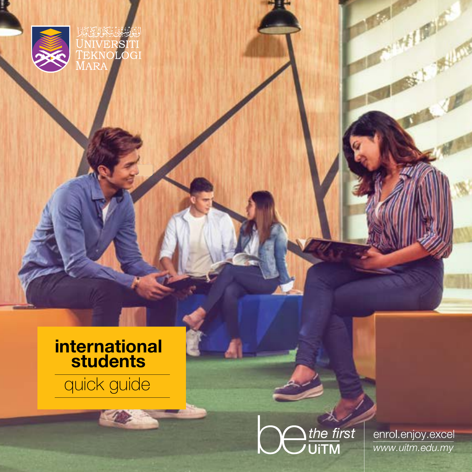

## **international students**

# quick guide



enrol.enjoy.excel www.uitm.edu.my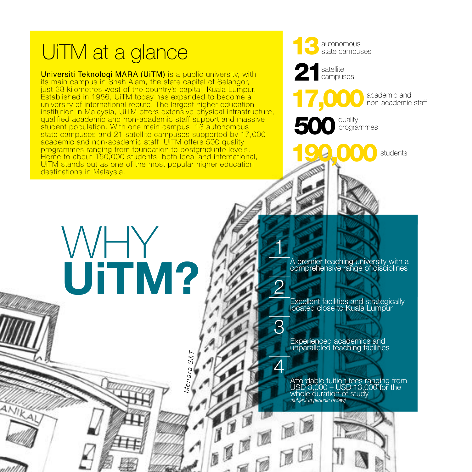#### UiTM at a glance **13** autonomous state campuses 21 satellite<br>campuses Universiti Teknologi MARA (UiTM) is a public university, with its main campus in Shah Alam, the state capital of Selangor, just 28 kilometres west of the country's capital, Kuala Lumpur. 17,000 academic and Established in 1956, UiTM today has expanded to become a non-academic staff university of international repute. The largest higher education institution in Malaysia, UiTM offers extensive physical infrastructure, qualified academic and non-academic staff support and massive 500 quality student population. With one main campus, 13 autonomous programmes state campuses and 21 satellite campuses supported by 17,000 academic and non-academic staff, UiTM offers 500 quality 199,000 students programmes ranging from foundation to postgraduate levels. Home to about 150,000 students, both local and international, UiTM stands out as one of the most popular higher education destinations in Malaysia. WHY 1 A premier teaching university with a comprehensive range of disciplines **UiTM?** 2 Excellent facilities and strategically located close to Kuala Lumpur 3 Experienced academics and unparalleled teaching facilities *Menara S&T* $\varDelta$ Affordable tuition fees ranging from USD 3,000 – USD 13,000 for the whole duration of study *(subject to periodic review)* ANIKAL **THE REE** 2 2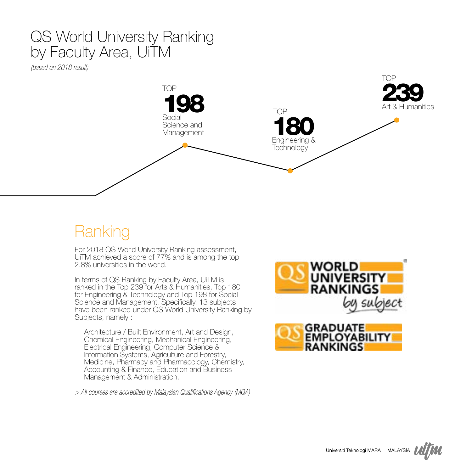### QS World University Ranking by Faculty Area, UiTM

*(based on 2018 result)* 



## Ranking

For 2018 QS World University Ranking assessment, UiTM achieved a score of 77% and is among the top 2.8% universities in the world.

In terms of QS Ranking by Faculty Area, UiTM is ranked in the Top 239 for Arts & Humanities, Top 180 for Engineering & Technology and Top 198 for Social Science and Management. Specifically, 13 subjects have been ranked under QS World University Ranking by Subjects, namely :

Architecture / Built Environment, Art and Design, Chemical Engineering, Mechanical Engineering, Electrical Engineering, Computer Science & Information Systems, Agriculture and Forestry, Medicine, Pharmacy and Pharmacology, Chemistry, Accounting & Finance, Education and Business Management & Administration.

*> All courses are accredited by Malaysian Qualifications Agency (MQA)*



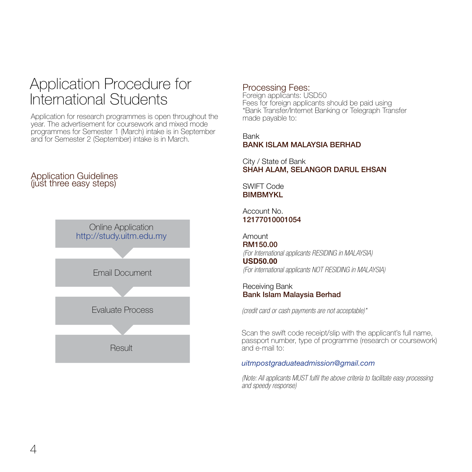### Application Procedure for International Students

Application for research programmes is open throughout the year. The advertisement for coursework and mixed mode programmes for Semester 1 (March) intake is in September and for Semester 2 (September) intake is in March.

#### Application Guidelines (just three easy steps)



#### Processing Fees:

Foreign applicants: USD50 Fees for foreign applicants should be paid using \*Bank Transfer/Internet Banking or Telegraph Transfer made payable to:

#### Bank BANK ISLAM MALAYSIA BERHAD

City / State of Bank SHAH ALAM, SELANGOR DARUL EHSAN

SWIFT Code **BIMBMYKL** 

Account No. 12177010001054

Amount RM150.00 *(For International applicants RESIDING in MALAYSIA)*

**USD50.00**  *(For international applicants NOT RESIDING in MALAYSIA)*

Receiving Bank Bank Islam Malaysia Berhad

*(credit card or cash payments are not acceptable)\**

Scan the swift code receipt/slip with the applicant's full name, passport number, type of programme (research or coursework) and e-mail to:

#### *uitmpostgraduateadmission@gmail.com*

*(Note: All applicants MUST fulfil the above criteria to facilitate easy processing and speedy response)*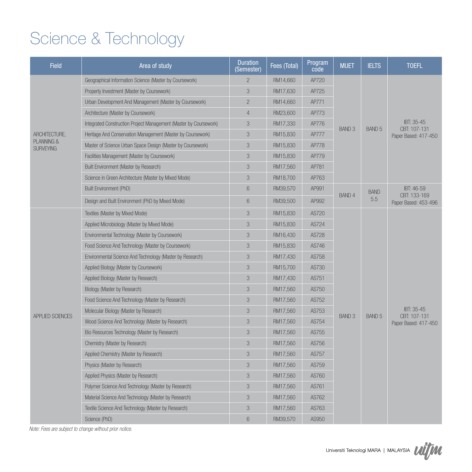# Science & Technology

| <b>Field</b>                   | Area of study                                                     | <b>Duration</b><br>(Semester) | Fees (Total) | Program<br>code | <b>MUET</b>   | <b>IELTS</b>      | <b>TOEFL</b>               |
|--------------------------------|-------------------------------------------------------------------|-------------------------------|--------------|-----------------|---------------|-------------------|----------------------------|
|                                | Geographical Information Science (Master by Coursework)           | $\mathbf{2}$                  | RM14,660     | AP720           |               |                   |                            |
|                                | Property Investment (Master by Coursework)                        | 3                             | RM17,630     | AP725           |               |                   |                            |
|                                | Urban Development And Management (Master by Coursework)           | $\overline{2}$                | RM14,660     | AP771           |               |                   |                            |
|                                | Architecture (Master by Coursework)                               | $\overline{4}$                | RM23,600     | AP773           |               |                   |                            |
|                                | Integrated Construction Project Management (Master by Coursework) | 3                             | RM17,330     | AP776           | <b>BAND 3</b> | BAND <sub>5</sub> | IBT: 35-45<br>CBT: 107-131 |
| ARCHITECTURE,                  | Heritage And Conservation Management (Master by Coursework)       | 3                             | RM15,830     | AP777           |               |                   | Paper Based: 417-450       |
| PLANNING &<br><b>SURVEYING</b> | Master of Science Urban Space Design (Master by Coursework)       | 3                             | RM15,830     | AP778           |               |                   |                            |
|                                | Facilities Management (Master by Coursework)                      | 3                             | RM15,830     | AP779           |               |                   |                            |
|                                | Built Environment (Master by Research)                            | 3                             | RM17,560     | AP781           |               |                   |                            |
|                                | Science in Green Architecture (Master by Mixed Mode)              | 3                             | RM18,700     | AP763           |               |                   |                            |
|                                | Built Environment (PhD)                                           | 6                             | RM39,570     | AP991           |               | <b>BAND</b>       | IBT: 46-59<br>CBT: 133-169 |
|                                | Design and Built Environment (PhD by Mixed Mode)                  | 6                             | RM39,500     | AP992           | BAND 4        | 5.5               | Paper Based: 453-496       |
|                                | Textiles (Master by Mixed Mode)                                   | 3                             | RM15,830     | AS720           |               |                   |                            |
|                                | Applied Microbiology (Master by Mixed Mode)                       | 3                             | RM15,830     | AS724           |               |                   |                            |
|                                | Environmental Technology (Master by Coursework)                   | 3                             | RM16,430     | AS728           |               |                   |                            |
|                                | Food Science And Technology (Master by Coursework)                | 3                             | RM15.830     | AS746           |               |                   |                            |
|                                | Environmental Science And Technology (Master by Research)         | 3                             | RM17,430     | AS758           |               |                   |                            |
|                                | Applied Biology (Master by Coursework)                            | 3                             | RM15,700     | AS730           |               |                   |                            |
|                                | Applied Biology (Master by Research)                              | 3                             | RM17,430     | AS751           |               |                   |                            |
|                                | Biology (Master by Research)                                      | 3                             | RM17,560     | AS750           |               |                   |                            |
|                                | Food Science And Technology (Master by Research)                  | 3                             | RM17,560     | AS752           |               |                   |                            |
| <b>APPLIED SCIENCES</b>        | Molecular Biology (Master by Research)                            | 3                             | RM17,560     | AS753           | <b>BAND 3</b> |                   | IBT: 35-45<br>CBT: 107-131 |
|                                | Wood Science And Technology (Master by Research)                  | 3                             | RM17.560     | AS754           |               | <b>BAND 5</b>     | Paper Based: 417-450       |
|                                | Bio Resources Technology (Master by Research)                     | 3                             | RM17,560     | AS755           |               |                   |                            |
|                                | Chemistry (Master by Research)                                    | 3                             | RM17,560     | AS756           |               |                   |                            |
|                                | Applied Chemistry (Master by Research)                            | 3                             | RM17,560     | AS757           |               |                   |                            |
|                                | Physics (Master by Research)                                      | 3                             | RM17,560     | AS759           |               |                   |                            |
|                                | Applied Physics (Master by Research)                              | 3                             | RM17,560     | AS760           |               |                   |                            |
|                                | Polymer Science And Technology (Master by Research)               | 3                             | RM17,560     | AS761           |               |                   |                            |
|                                | Material Science And Technology (Master by Research)              | 3                             | RM17,560     | AS762           |               |                   |                            |
|                                | Textile Science And Technology (Master by Research)               | 3                             | RM17,560     | AS763           |               |                   |                            |
|                                | Science (PhD)                                                     | 6                             | RM39,570     | AS950           |               |                   |                            |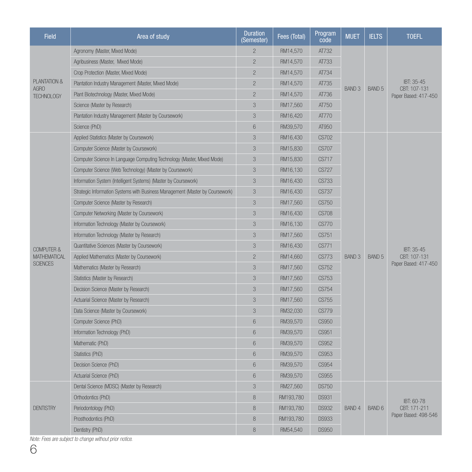| <b>Field</b>              | Area of study                                                                 | <b>Duration</b><br>(Semester) | Fees (Total) | Program<br>code | <b>MUET</b>   | <b>IELTS</b> | <b>TOEFL</b>                                       |
|---------------------------|-------------------------------------------------------------------------------|-------------------------------|--------------|-----------------|---------------|--------------|----------------------------------------------------|
|                           | Agronomy (Master, Mixed Mode)                                                 | $\mathcal{P}$                 | RM14,570     | AT732           |               |              |                                                    |
|                           | Agribusiness (Master, Mixed Mode)                                             | $\overline{c}$                | RM14.570     | AT733           |               |              |                                                    |
|                           | Crop Protection (Master, Mixed Mode)                                          | $\overline{2}$                | RM14,570     | AT734           |               |              |                                                    |
| PLANTATION &              | Plantation Industry Management (Master, Mixed Mode)                           | $\overline{2}$                | RM14,570     | AT735           |               |              | IBT: 35-45<br>CBT: 107-131<br>Paper Based: 417-450 |
| AGRO<br><b>TECHNOLOGY</b> | Plant Biotechnology (Master, Mixed Mode)                                      | $\overline{2}$                | RM14,570     | AT736           | <b>BAND 3</b> | BAND 5       |                                                    |
|                           | Science (Master by Research)                                                  | 3                             | RM17,560     | AT750           |               |              |                                                    |
|                           | Plantation Industry Management (Master by Coursework)                         | 3                             | RM16,420     | AT770           |               |              |                                                    |
|                           | Science (PhD)                                                                 | $6\phantom{.}6$               | RM39,570     | AT950           |               |              |                                                    |
|                           | Applied Statistics (Master by Coursework)                                     | 3                             | RM16,430     | <b>CS702</b>    |               |              |                                                    |
|                           | Computer Science (Master by Coursework)                                       | 3                             | RM15,830     | <b>CS707</b>    |               |              |                                                    |
|                           | Computer Science In Language Computing Technology (Master, Mixed Mode)        | 3                             | RM15,830     | CS717           |               |              |                                                    |
|                           | Computer Science (Web Technology) (Master by Coursework)                      | 3                             | RM16,130     | CS727           |               |              |                                                    |
|                           | Information System (Intelligent Systems) (Master by Coursework)               | 3                             | RM16,430     | CS733           |               |              |                                                    |
|                           | Strategic Information Systems with Business Management (Master by Coursework) | 3                             | RM16,430     | <b>CS737</b>    |               |              |                                                    |
|                           | Computer Science (Master by Research)                                         | 3                             | RM17,560     | CS750           |               |              |                                                    |
|                           | Computer Networking (Master by Coursework)                                    | 3                             | RM16,430     | <b>CS708</b>    |               |              |                                                    |
|                           | Information Technology (Master by Coursework)                                 | 3                             | RM16,130     | <b>CS770</b>    |               |              |                                                    |
|                           | Information Technology (Master by Research)                                   | 3                             | RM17,560     | CS751           |               |              |                                                    |
| <b>COMPUTER &amp;</b>     | Quantitative Sciences (Master by Coursework)                                  | 3                             | RM16,430     | CS771           | <b>BAND 3</b> | BAND 5       | IBT: 35-45<br>CBT: 107-131<br>Paper Based: 417-450 |
| MATHEMATICAL              | Applied Mathematics (Master by Coursework)                                    | $\overline{c}$                | RM14,660     | CS773           |               |              |                                                    |
| <b>SCIENCES</b>           | Mathematics (Master by Research)                                              | 3                             | RM17,560     | CS752           |               |              |                                                    |
|                           | Statistics (Master by Research)                                               | 3                             | RM17,560     | CS753           |               |              |                                                    |
|                           | Decision Science (Master by Research)                                         | 3                             | RM17,560     | CS754           |               |              |                                                    |
|                           | Actuarial Science (Master by Research)                                        | 3                             | RM17,560     | CS755           |               |              |                                                    |
|                           | Data Science (Master by Coursework)                                           | 3                             | RM32,030     | <b>CS779</b>    |               |              |                                                    |
|                           | Computer Science (PhD)                                                        | $6\phantom{.}6$               | RM39,570     | <b>CS950</b>    |               |              |                                                    |
|                           | Information Technology (PhD)                                                  | $6\phantom{.}6$               | RM39,570     | CS951           |               |              |                                                    |
|                           | Mathematic (PhD)                                                              | $6\phantom{1}6$               | RM39,570     | CS952           |               |              |                                                    |
|                           | Statistics (PhD)                                                              | $6\phantom{1}6$               | RM39,570     | CS953           |               |              |                                                    |
|                           | Decision Science (PhD)                                                        | $6\phantom{1}6$               | RM39,570     | CS954           |               |              |                                                    |
|                           | Actuarial Science (PhD)                                                       | 6<br>RM39,570<br>CS955        |              |                 |               |              |                                                    |
|                           | Dental Science (MDSC) (Master by Research)                                    | 3                             | RM27,560     | <b>DS750</b>    |               |              |                                                    |
|                           | Orthodontics (PhD)                                                            | 8                             | RM193,780    | <b>DS931</b>    |               |              | IBT: 60-78                                         |
| <b>DENTISTRY</b>          | Periodontology (PhD)                                                          | 8                             | RM193,780    | <b>DS932</b>    | <b>BAND 4</b> | BAND 6       | CBT: 171-211                                       |
|                           | Prosthodontics (PhD)                                                          | 8                             | RM193,780    | <b>DS933</b>    |               |              | Paper Based: 498-546                               |
|                           | Dentistry (PhD)                                                               | 8                             | RM54,540     | <b>DS950</b>    |               |              |                                                    |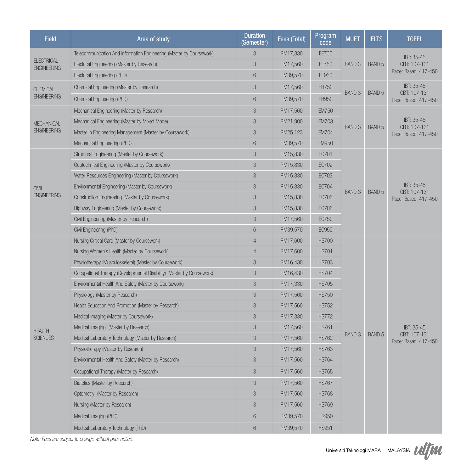| <b>Field</b>                            | Area of study                                                          | <b>Duration</b><br>(Semester) | Fees (Total) | Program<br>code | <b>MUET</b>       | <b>IELTS</b>      | <b>TOEFL</b>                                       |
|-----------------------------------------|------------------------------------------------------------------------|-------------------------------|--------------|-----------------|-------------------|-------------------|----------------------------------------------------|
|                                         | Telecommunication And Information Engineering (Master by Coursework)   | 3                             | RM17,330     | EE700           |                   |                   | IBT: 35-45                                         |
| <b>ELECTRICAL</b><br><b>ENGINEERING</b> | Electrical Engineering (Master by Research)                            | 3                             | RM17,560     | EE750           | <b>BAND 3</b>     | BAND <sub>5</sub> | CBT: 107-131                                       |
|                                         | Electrical Engineering (PhD)                                           | 6                             | RM39,570     | EE950           |                   |                   | Paper Based: 417-450                               |
| CHEMICAL                                | Chemical Engineering (Master by Research)                              | 3                             | RM17,560     | EH750           | BAND <sub>3</sub> | BAND 5            | IBT: 35-45<br>CBT: 107-131<br>Paper Based: 417-450 |
| <b>ENGINEERING</b>                      | Chemical Engineering (PhD)                                             | 6                             | RM39,570     | EH950           |                   |                   |                                                    |
|                                         | Mechanical Engineering (Master by Research)                            | 3                             | RM17,560     | <b>EM750</b>    |                   |                   |                                                    |
| <b>MECHANICAL</b>                       | Mechanical Engineering (Master by Mixed Mode)                          | 3                             | RM21,900     | <b>EM703</b>    |                   |                   | IBT: 35-45                                         |
| <b>ENGINEERING</b>                      | Master in Engineering Management (Master by Coursework)                | 3                             | RM25,123     | <b>EM704</b>    | BAND <sub>3</sub> | BAND 5            | CBT: 107-131<br>Paper Based: 417-450               |
|                                         | Mechanical Engineering (PhD)                                           | 6                             | RM39,570     | <b>EM950</b>    |                   |                   |                                                    |
|                                         | Structural Engineering (Master by Coursework)                          | 3                             | RM15,830     | EC701           |                   |                   |                                                    |
|                                         | Geotechnical Engineering (Master by Coursework)                        | 3                             | RM15,830     | EC702           |                   |                   |                                                    |
|                                         | Water Resources Engineering (Master by Coursework)                     | 3                             | RM15,830     | <b>EC703</b>    |                   |                   |                                                    |
| <b>CIVIL</b>                            | Environmental Engineering (Master by Coursework)                       | 3                             | RM15,830     | <b>EC704</b>    | BAND <sub>3</sub> | BAND 5            | IBT: 35-45                                         |
| <b>ENGINEERING</b>                      | Construction Engineering (Master by Coursework)                        | 3                             | RM15,830     | EC705           |                   |                   | CBT: 107-131<br>Paper Based: 417-450               |
|                                         | Highway Engineering (Master by Coursework)                             | 3                             | RM15,830     | EC706           |                   |                   |                                                    |
|                                         | Civil Engineering (Master by Research)                                 | 3                             | RM17,560     | EC750           |                   |                   |                                                    |
|                                         | Civil Engineering (PhD)                                                | 6                             | RM39,570     | EC950           |                   |                   |                                                    |
|                                         | Nursing Critical Care (Master by Coursework)                           | $\overline{4}$                | RM17,600     | <b>HS700</b>    |                   |                   |                                                    |
|                                         | Nursing Women's Health (Master by Coursework)                          | $\overline{4}$                | RM17,600     | <b>HS701</b>    |                   |                   |                                                    |
|                                         | Physiotherapy (Musculoskeletal) (Master by Coursework)                 | 3                             | RM16,430     | <b>HS703</b>    |                   |                   |                                                    |
|                                         | Occupational Therapy (Developmental Disability) (Master by Coursework) | 3                             | RM16,430     | <b>HS704</b>    |                   |                   |                                                    |
|                                         | Environmental Health And Safety (Master by Coursework)                 | 3                             | RM17,330     | <b>HS705</b>    |                   |                   |                                                    |
|                                         | Physiology (Master by Research)                                        | 3                             | RM17,560     | <b>HS750</b>    |                   |                   |                                                    |
|                                         | Health Education And Promotion (Master by Research)                    | 3                             | RM17,560     | <b>HS752</b>    |                   |                   |                                                    |
|                                         | Medical Imaging (Master by Coursework)                                 | 3                             | RM17,330     | <b>HS772</b>    |                   |                   |                                                    |
| <b>HEALTH</b>                           | Medical Imaging (Master by Research)                                   | 3                             | RM17,560     | <b>HS761</b>    |                   |                   | IBT: 35-45                                         |
| <b>SCIENCES</b>                         | Medical Laboratory Technology (Master by Research)                     | 3                             | RM17,560     | <b>HS762</b>    | BAND <sub>3</sub> | BAND 5            | CBT: 107-131<br>Paper Based: 417-450               |
|                                         | Physiotherapy (Master by Research)                                     | 3                             | RM17,560     | <b>HS763</b>    |                   |                   |                                                    |
|                                         | Environmental Health And Safety (Master by Research)                   | 3                             | RM17,560     | <b>HS764</b>    |                   |                   |                                                    |
|                                         | Occupational Therapy (Master by Research)                              | 3                             | RM17,560     | <b>HS765</b>    |                   |                   |                                                    |
|                                         | Dietetics (Master by Research)                                         | 3                             | RM17,560     | <b>HS767</b>    |                   |                   |                                                    |
|                                         | Optometry (Master by Research)                                         | 3                             | RM17,560     | <b>HS768</b>    |                   |                   |                                                    |
|                                         | Nursing (Master by Research)                                           | 3                             | RM17,560     | <b>HS769</b>    |                   |                   |                                                    |
|                                         | Medical Imaging (PhD)                                                  | 6                             | RM39,570     | <b>HS950</b>    |                   |                   |                                                    |
|                                         | Medical Laboratory Technology (PhD)                                    | 6                             | RM39,570     | <b>HS951</b>    |                   |                   |                                                    |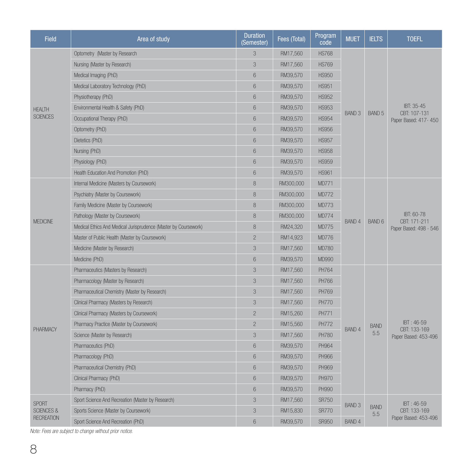| <b>Field</b>          | Area of study                                                   | <b>Duration</b><br>(Semester) | Fees (Total) | Program<br>code | <b>MUET</b>       | <b>IELTS</b>       | <b>TOEFL</b>                                         |
|-----------------------|-----------------------------------------------------------------|-------------------------------|--------------|-----------------|-------------------|--------------------|------------------------------------------------------|
|                       | Optometry (Master by Research                                   | 3                             | RM17,560     | <b>HS768</b>    |                   |                    |                                                      |
|                       | Nursing (Master by Research)                                    | 3                             | RM17,560     | <b>HS769</b>    |                   |                    |                                                      |
|                       | Medical Imaging (PhD)                                           | 6                             | RM39.570     | <b>HS950</b>    |                   |                    | IBT: 35-45<br>CBT: 107-131<br>Paper Based: 417-450   |
|                       | Medical Laboratory Technology (PhD)                             | 6                             | RM39,570     | <b>HS951</b>    |                   |                    |                                                      |
|                       | Physiotherapy (PhD)                                             | 6                             | RM39,570     | <b>HS952</b>    |                   |                    |                                                      |
| <b>HEALTH</b>         | Environmental Health & Safety (PhD)                             | 6                             | RM39,570     | <b>HS953</b>    |                   |                    |                                                      |
| <b>SCIENCES</b>       | Occupational Therapy (PhD)                                      | 6                             | RM39,570     | <b>HS954</b>    | BAND <sub>3</sub> | BAND 5             |                                                      |
|                       | Optometry (PhD)                                                 | 6                             | RM39,570     | <b>HS956</b>    |                   |                    |                                                      |
|                       | Dietetics (PhD)                                                 | 6                             | RM39.570     | <b>HS957</b>    |                   |                    |                                                      |
|                       | Nursing (PhD)                                                   | 6                             | RM39,570     | <b>HS958</b>    |                   |                    |                                                      |
|                       | Physiology (PhD)                                                | 6                             | RM39,570     | <b>HS959</b>    |                   |                    |                                                      |
|                       | Health Education And Promotion (PhD)                            | 6                             | RM39,570     | <b>HS961</b>    |                   |                    |                                                      |
|                       | Internal Medicine (Masters by Coursework)                       | 8                             | RM300,000    | <b>MD771</b>    |                   |                    |                                                      |
|                       | Psychiatry (Master by Coursework)                               | 8                             | RM300,000    | <b>MD772</b>    |                   |                    |                                                      |
|                       | Family Medicine (Master by Coursework)                          | 8                             | RM300,000    | <b>MD773</b>    |                   |                    |                                                      |
|                       | Pathology (Master by Coursework)                                | 8                             | RM300,000    | <b>MD774</b>    |                   |                    | IBT: 60-78<br>CBT: 171-211<br>Paper Based: 498 - 546 |
| <b>MEDICINE</b>       | Medical Ethics And Medical Jurisprudence (Master by Coursework) | 8                             | RM24,320     | <b>MD775</b>    | BAND 4            | BAND 6             |                                                      |
|                       | Master of Public Health (Master by Coursework)                  | $\overline{2}$                | RM14,923     | <b>MD776</b>    |                   |                    |                                                      |
|                       | Medicine (Master by Research)                                   | 3                             | RM17,560     | <b>MD780</b>    |                   |                    |                                                      |
|                       | Medicine (PhD)                                                  | 6                             | RM39,570     | MD990           |                   |                    |                                                      |
|                       | Pharmaceutics (Masters by Research)                             | 3                             | RM17,560     | PH764           |                   |                    |                                                      |
|                       | Pharmacology (Master by Research)                               | 3                             | RM17,560     | PH766           |                   |                    |                                                      |
|                       | Pharmaceutical Chemistry (Master by Research)                   | 3                             | RM17,560     | PH769           |                   |                    |                                                      |
|                       | Clinical Pharmacy (Masters by Research)                         | 3                             | RM17,560     | <b>PH770</b>    |                   |                    |                                                      |
|                       | Clinical Pharmacy (Masters by Coursework)                       | $\overline{2}$                | RM15,260     | PH771           |                   |                    |                                                      |
| PHARMACY              | Pharmacy Practice (Master by Coursework)                        | $\overline{2}$                | RM15,560     | <b>PH772</b>    | <b>BAND 4</b>     | <b>BAND</b>        | IBT: 46-59<br>CBT: 133-169                           |
|                       | Science (Master by Research)                                    | 3                             | RM17,560     | <b>PH780</b>    |                   | 5.5                | Paper Based: 453-496                                 |
|                       | Pharmaceutics (PhD)                                             | 6                             | RM39,570     | PH964           |                   |                    |                                                      |
|                       | Pharmacology (PhD)                                              | 6                             | RM39,570     | PH966           |                   |                    |                                                      |
|                       | Pharmaceutical Chemistry (PhD)                                  | 6                             | RM39,570     | PH969           |                   |                    |                                                      |
|                       | Clinical Pharmacy (PhD)                                         | 6                             | RM39,570     | <b>PH970</b>    |                   |                    |                                                      |
|                       | Pharmacy (PhD)                                                  | 6                             | RM39,570     | <b>PH990</b>    |                   |                    |                                                      |
| <b>SPORT</b>          | Sport Science And Recreation (Master by Research)               | 3                             | RM17,560     | <b>SR750</b>    | <b>BAND 3</b>     |                    | IBT: 46-59                                           |
| <b>SCIENCES &amp;</b> | Sports Science (Master by Coursework)                           | 3                             | RM15,830     | <b>SR770</b>    |                   | <b>BAND</b><br>5.5 | CBT: 133-169                                         |
| <b>RECREATION</b>     | Sport Science And Recreation (PhD)                              | 6                             | RM39,570     | <b>SR950</b>    | <b>BAND 4</b>     |                    | Paper Based: 453-496                                 |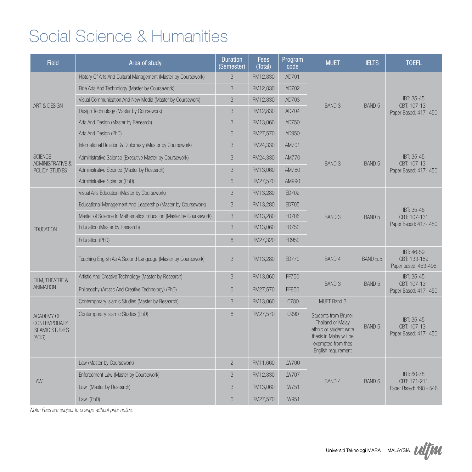## Social Science & Humanities

| <b>Field</b>                                                          | Area of study                                                     | <b>Duration</b><br>(Semester) | <b>Fees</b><br>(Total) | Program<br>code | <b>MUET</b>                                                                                                                                   | <b>IELTS</b>      | <b>TOEFL</b>                                       |
|-----------------------------------------------------------------------|-------------------------------------------------------------------|-------------------------------|------------------------|-----------------|-----------------------------------------------------------------------------------------------------------------------------------------------|-------------------|----------------------------------------------------|
|                                                                       | History Of Arts And Cultural Management (Master by Coursework)    | 3                             | RM12,830               | AD701           |                                                                                                                                               |                   |                                                    |
|                                                                       | Fine Arts And Technology (Master by Coursework)                   | 3                             | RM12,830               | AD702           |                                                                                                                                               |                   |                                                    |
| <b>ART &amp; DESIGN</b>                                               | Visual Communication And New Media (Master by Coursework)         | 3                             | RM12,830               | AD703           | <b>BAND 3</b>                                                                                                                                 | BAND <sub>5</sub> | IBT: 35-45<br>CBT: 107-131                         |
|                                                                       | Design Technology (Master by Coursework)                          | 3                             | RM12.830               | AD704           |                                                                                                                                               |                   | Paper Based: 417-450                               |
|                                                                       | Arts And Design (Master by Research)                              | 3                             | RM13.060               | AD750           |                                                                                                                                               |                   |                                                    |
|                                                                       | Arts And Design (PhD)                                             | 6                             | RM27,570               | AD950           |                                                                                                                                               |                   |                                                    |
|                                                                       | International Relation & Diplomacy (Master by Coursework)         | 3                             | RM24,330               | AM701           |                                                                                                                                               |                   |                                                    |
| <b>SCIENCE</b><br><b>ADMINISTRATIVE &amp;</b>                         | Administrative Science (Executive Master by Coursework)           | 3                             | RM24,330               | AM770           | <b>BAND 3</b>                                                                                                                                 | BAND 5            | IBT: 35-45<br>CBT: 107-131                         |
| POLICY STUDIES                                                        | Administrative Science (Master by Research)                       | 3                             | RM13,060               | AM780           |                                                                                                                                               |                   | Paper Based: 417-450                               |
|                                                                       | Administrative Science (PhD)                                      | 6                             | RM27,570               | AM990           |                                                                                                                                               |                   |                                                    |
|                                                                       | Visual Arts Education (Master by Coursework)                      | 3                             | RM13,280               | ED702           |                                                                                                                                               |                   |                                                    |
|                                                                       | Educational Management And Leadership (Master by Coursework)      | 3                             | RM13,280               | ED705           |                                                                                                                                               |                   | IBT: 35-45                                         |
|                                                                       | Master of Science In Mathematics Education (Master by Coursework) | 3                             | RM13.280               | <b>ED706</b>    | <b>BAND 3</b>                                                                                                                                 | BAND 5            | CBT: 107-131                                       |
| <b>EDUCATION</b>                                                      | Education (Master by Research)                                    | 3                             | RM13.060               | <b>FD750</b>    |                                                                                                                                               |                   | Paper Based: 417-450                               |
|                                                                       | Education (PhD)                                                   | 6                             | RM27,320               | <b>FD950</b>    |                                                                                                                                               |                   |                                                    |
|                                                                       | Teaching English As A Second Language (Master by Coursework)      | 3                             | RM13,280               | <b>ED770</b>    | <b>BAND 4</b>                                                                                                                                 | <b>BAND 5.5</b>   | IBT: 46-59<br>CBT: 133-169<br>Paper based: 453-496 |
| FILM, THEATRE &                                                       | Artistic And Creative Technology (Master by Research)             | 3                             | RM13,060               | FF750           |                                                                                                                                               |                   | IBT: 35-45                                         |
| <b>ANIMATION</b>                                                      | Philosophy (Artistic And Creative Technology) (PhD)               | 6                             | RM27.570               | FF950           | <b>BAND 3</b>                                                                                                                                 | BAND 5            | CBT: 107-131<br>Paper Based: 417-450               |
|                                                                       | Contemporary Islamic Studies (Master by Research)                 | 3                             | RM13,060               | <b>IC780</b>    | MUET Band 3                                                                                                                                   |                   |                                                    |
| ACADEMY OF<br><b>CONTEMPORARY</b><br><b>ISLAMIC STUDIES</b><br>(ACIS) | Contemporary Islamic Studies (PhD)                                | 6                             | RM27,570               | <b>IC990</b>    | Students from Brunei,<br>Thailand or Malay<br>ethnic or student write<br>thesis in Malay will be<br>exempted from thes<br>English requirement | BAND 5            | IBT: 35-45<br>CBT: 107-131<br>Paper Based: 417-450 |
|                                                                       | Law (Master by Coursework)                                        | $\mathbf{2}$                  | RM11,660               | <b>LW700</b>    |                                                                                                                                               |                   |                                                    |
| LAW                                                                   | Enforcement Law (Master by Coursework)                            | 3                             | RM12.830               | <b>LW707</b>    | <b>BAND 4</b>                                                                                                                                 | <b>BAND 6</b>     | IBT: 60-78<br>CBT: 171-211                         |
|                                                                       | Law (Master by Research)                                          | 3                             | RM13,060               | LW751           |                                                                                                                                               |                   | Paper Based: 498 - 546                             |
|                                                                       | Law (PhD)                                                         | 6                             | RM27.570               | LW951           |                                                                                                                                               |                   |                                                    |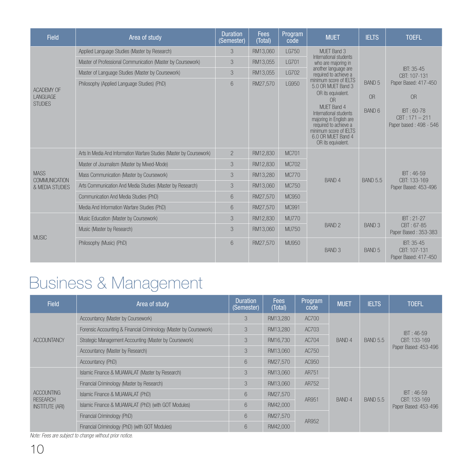| <b>Field</b>                        | Area of study                                                        | <b>Duration</b><br>(Semester) | <b>Fees</b><br>(Total) | Program<br>code | <b>MUET</b>                                                                                                                                                     | <b>IELTS</b>      | <b>TOEFL</b>                                             |
|-------------------------------------|----------------------------------------------------------------------|-------------------------------|------------------------|-----------------|-----------------------------------------------------------------------------------------------------------------------------------------------------------------|-------------------|----------------------------------------------------------|
|                                     | Applied Language Studies (Master by Research)                        | 3                             | RM13.060               | LG750           | MUET Band 3<br>International students                                                                                                                           |                   |                                                          |
|                                     | Master of Professional Communication (Master by Coursework)          | 3                             | RM13.055               | LG701           | who are majoring in                                                                                                                                             |                   |                                                          |
|                                     | Master of Language Studies (Master by Coursework)                    | 3                             | RM13.055               | <b>LG702</b>    | another language are<br>required to achieve a                                                                                                                   |                   | IBT: 35-45<br>CBT: 107-131                               |
|                                     | Philosophy (Applied Language Studies) (PhD)                          | 6                             | RM27.570               | LG950           | minimum score of IELTS<br>5.0 OR MUET Band 3                                                                                                                    | <b>BAND 5</b>     | Paper Based: 417-450                                     |
| ACADEMY OF<br>LANGUAGE              |                                                                      |                               |                        |                 | OR its equivalent.<br>0 <sub>R</sub>                                                                                                                            | <b>OR</b>         | OR                                                       |
| <b>STUDIES</b>                      |                                                                      |                               |                        |                 | MUFT Band 4<br>International students<br>majoring in English are<br>required to achieve a<br>minimum score of IELTS<br>6.0 OR MUET Band 4<br>OR its equivalent. | BAND 6            | IBT: 60-78<br>$CBT: 171 - 211$<br>Paper based: 498 - 546 |
|                                     | Arts In Media And Information Warfare Studies (Master by Coursework) | $\overline{2}$                | RM12.830               | MC701           |                                                                                                                                                                 |                   |                                                          |
|                                     | Master of Journalism (Master by Mixed-Mode)                          | 3                             | RM12,830               | <b>MC702</b>    |                                                                                                                                                                 |                   |                                                          |
| <b>MASS</b><br><b>COMMUNICATION</b> | Mass Communication (Master by Coursework)                            | 3                             | RM13.280               | <b>MC770</b>    | <b>BAND 4</b>                                                                                                                                                   | <b>BAND 5.5</b>   | IBT: 46-59<br>CBT: 133-169                               |
| & MEDIA STUDIES                     | Arts Communication And Media Studies (Master by Research)            | 3                             | RM13.060               | MC750           |                                                                                                                                                                 |                   | Paper Based: 453-496                                     |
|                                     | Communication And Media Studies (PhD)                                | 6                             | RM27,570               | MC950           |                                                                                                                                                                 |                   |                                                          |
|                                     | Media And Information Warfare Studies (PhD)                          | 6                             | RM27,570               | MC991           |                                                                                                                                                                 |                   |                                                          |
|                                     | Music Education (Master by Coursework)                               | 3                             | RM12,830               | <b>MU770</b>    |                                                                                                                                                                 |                   | IBT: 21-27                                               |
| <b>MUSIC</b>                        | Music (Master by Research)                                           | 3                             | RM13.060               | MU750           | BAND <sub>2</sub>                                                                                                                                               | BAND <sub>3</sub> | CBT: 67-85<br>Paper Based: 353-383                       |
|                                     | Philosophy (Music) (PhD)                                             | 6                             | RM27,570               | MU950           | BAND <sub>3</sub>                                                                                                                                               | <b>BAND 5</b>     | IBT: 35-45<br>CBT: 107-131<br>Paper Based: 417-450       |

# Business & Management

| <b>Field</b>                              | Area of study                                                      | <b>Duration</b><br>(Semester) | <b>Fees</b><br>(Total) | Program<br>code | <b>MUET</b> | <b>IELTS</b>    | <b>TOEFL</b>                                         |
|-------------------------------------------|--------------------------------------------------------------------|-------------------------------|------------------------|-----------------|-------------|-----------------|------------------------------------------------------|
|                                           | Accountancy (Master by Coursework)                                 | 3                             | RM13.280               | AC700           |             |                 | $IBT: 46-59$<br>CBT: 133-169<br>Paper Based: 453-496 |
|                                           | Forensic Accounting & Financial Criminology (Master by Coursework) | 3                             | RM13.280               | AC703           |             |                 |                                                      |
| <b>ACCOUNTANCY</b>                        | Strategic Management Accounting (Master by Coursework)             | 3                             | RM16.730               | AC704           | BAND 4      | <b>BAND 5.5</b> |                                                      |
|                                           | Accountancy (Master by Research)                                   | 3                             | RM13.060               | AC750           |             |                 |                                                      |
|                                           | Accountancy (PhD)                                                  | 6                             | RM27.570               | AC950           |             |                 |                                                      |
|                                           | Islamic Finance & MUAMALAT (Master by Research)                    | 3                             | RM13.060               | AR751           |             |                 | IBT: 46-59                                           |
|                                           | Financial Criminology (Master by Research)                         | 3                             | RM13.060               | AR752           |             |                 |                                                      |
| ACCOUNTING                                | Islamic Finance & MUAMALAT (PhD)                                   | 6                             | RM27,570               | AR951           | BAND 4      | <b>BAND 5.5</b> |                                                      |
| <b>RESEARCH</b><br><b>INSTITUTE (ARI)</b> | Islamic Finance & MUAMALAT (PhD) (with GOT Modules)                | 6                             | RM42,000               |                 |             |                 | CBT: 133-169<br>Paper Based: 453-496                 |
|                                           | Financial Criminology (PhD)                                        | 6                             | RM27.570               |                 |             |                 |                                                      |
|                                           | Financial Criminology (PhD) (with GOT Modules)                     | 6                             | RM42.000               | AR952           |             |                 |                                                      |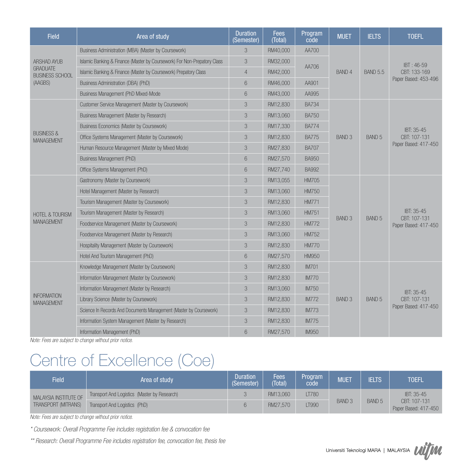| <b>Field</b>                               | Area of study                                                            | <b>Duration</b><br>(Semester)                                  | <b>Fees</b><br>(Total) | Program<br>code | <b>MUET</b>   | <b>IELTS</b>      | <b>TOEFL</b>               |
|--------------------------------------------|--------------------------------------------------------------------------|----------------------------------------------------------------|------------------------|-----------------|---------------|-------------------|----------------------------|
|                                            | Business Administration (MBA) (Master by Coursework)                     | 3                                                              | RM40,000               | AA700           |               |                   | IBT: 46-59<br>CBT: 133-169 |
| ARSHAD AYUB                                | Islamic Banking & Finance (Master by Coursework) For Non-Prepatory Class | 3                                                              | RM32,000               | AA706           |               |                   |                            |
| <b>GRADUATE</b><br><b>BUSINESS SCHOOL</b>  | Islamic Banking & Finance (Master by Coursework) Prepatory Class         | $\overline{4}$                                                 | RM42,000               |                 | <b>BAND 4</b> | <b>BAND 5.5</b>   |                            |
| (AAGBS)                                    | Business Administration (DBA) (PhD)                                      | 6                                                              | RM46,000               | AA901           |               |                   | Paper Based: 453-496       |
|                                            | Business Management (PhD Mixed-Mode                                      | 6                                                              | RM43,000               | AA995           |               |                   |                            |
|                                            | Customer Service Management (Master by Coursework)                       | 3                                                              | RM12,830               | <b>BA734</b>    |               |                   |                            |
|                                            | Business Management (Master by Research)                                 | 3                                                              | RM13.060               | <b>BA750</b>    |               |                   |                            |
|                                            | Business Economics (Master by Coursework)                                | 3                                                              | RM17,330               | <b>BA774</b>    |               |                   | IBT: 35-45<br>CBT: 107-131 |
| <b>BUSINESS &amp;</b><br><b>MANAGEMENT</b> | Office Systems Management (Master by Coursework)                         | 3                                                              | RM12,830               | <b>BA775</b>    | <b>BAND 3</b> | BAND 5            |                            |
|                                            | Human Resource Management (Master by Mixed Mode)                         | 3                                                              | RM27,830               | <b>BA707</b>    |               |                   | Paper Based: 417-450       |
|                                            | Business Management (PhD)                                                | 6<br>RM27,570<br><b>BA950</b><br>6<br>RM27,740<br><b>BA992</b> |                        |                 |               |                   |                            |
|                                            | Office Systems Management (PhD)                                          |                                                                |                        |                 |               |                   |                            |
|                                            | Gastronomy (Master by Coursework)                                        | 3                                                              | RM13,055               | <b>HM705</b>    |               |                   | IBT: 35-45<br>CBT: 107-131 |
|                                            | Hotel Management (Master by Research)                                    | 3                                                              | RM13,060               | <b>HM750</b>    |               |                   |                            |
|                                            | Tourism Management (Master by Coursework)                                | 3                                                              | RM12,830               | <b>HM771</b>    |               | BAND 5            |                            |
| <b>HOTEL &amp; TOURISM</b>                 | Tourism Management (Master by Research)                                  | 3                                                              | RM13.060               | <b>HM751</b>    | <b>BAND 3</b> |                   |                            |
| <b>MANAGEMENT</b>                          | Foodservice Management (Master by Coursework)                            | 3                                                              | RM12.830               | <b>HM772</b>    |               |                   | Paper Based: 417-450       |
|                                            | Foodservice Management (Master by Research)                              | 3                                                              | RM13,060               | <b>HM752</b>    |               |                   |                            |
|                                            | Hospitality Management (Master by Coursework)                            | 3                                                              | RM12.830               | <b>HM770</b>    |               |                   |                            |
|                                            | Hotel And Tourism Management (PhD)                                       | 6                                                              | RM27,570               | <b>HM950</b>    |               |                   |                            |
|                                            | Knowledge Management (Master by Coursework)                              | 3                                                              | RM12.830               | <b>IM701</b>    |               |                   |                            |
|                                            | Information Management (Master by Coursework)                            | 3                                                              | RM12.830               | <b>IM770</b>    |               |                   |                            |
|                                            | Information Management (Master by Research)                              | 3                                                              | RM13,060               | <b>IM750</b>    |               |                   | IBT: 35-45                 |
| <b>INFORMATION</b><br><b>MANAGEMENT</b>    | Library Science (Master by Coursework)                                   | 3                                                              | RM12.830               | <b>IM772</b>    | <b>BAND 3</b> | BAND <sub>5</sub> | CBT: 107-131               |
|                                            | Science In Records And Documents Management (Master by Coursework)       | 3                                                              | RM12.830               | <b>IM773</b>    |               |                   | Paper Based: 417-450       |
|                                            | Information System Management (Master by Research)                       | 3                                                              | RM12.830               | <b>IM775</b>    |               |                   |                            |
|                                            | Information Management (PhD)                                             | 6                                                              | RM27,570               | <b>IM950</b>    |               |                   |                            |

## Centre of Excellence (Coe)

| <b>Field</b>          | Area of study                                | <b>Duration</b><br>(Semester) | Fees<br>(Total) | Program<br>code | <b>MUET</b>   | <b>IELTS</b>      | <b>TOEFL</b>                         |
|-----------------------|----------------------------------------------|-------------------------------|-----------------|-----------------|---------------|-------------------|--------------------------------------|
| MALAYSIA INSTITUTE OF | Transport And Logistics (Master by Research) |                               | RM13.060        | LT780           |               |                   | IBT: 35-45                           |
| TRANSPORT (MITRANS)   | Transport And Logistics (PhD)                |                               | RM27.570        | LT990           | <b>BAND 3</b> | BAND <sub>5</sub> | CBT: 107-131<br>Paper Based: 417-450 |

*Note: Fees are subject to change without prior notice.*

*\* Coursework: Overall Programme Fee includes registration fee & convocation fee*

*\*\* Research: Overall Programme Fee includes registration fee, convocation fee, thesis fee*